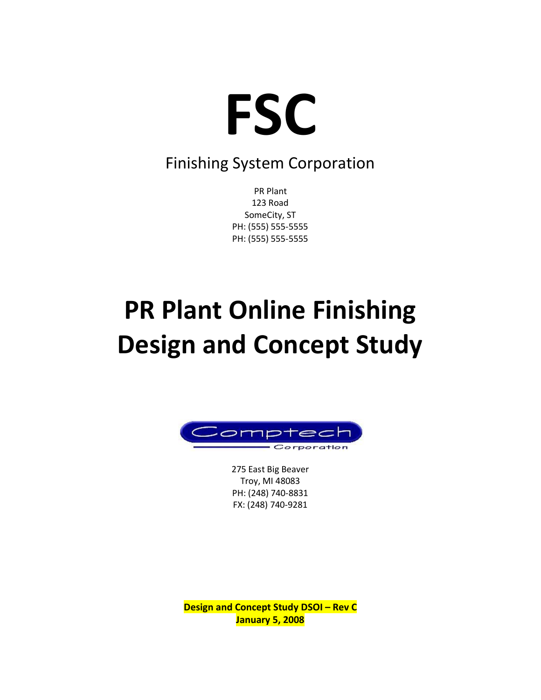

### Finishing System Corporation

PR Plant 123 Road SomeCity, ST PH: (555) 555-5555 PH: (555) 555-5555

# **PR Plant Online Finishing Design and Concept Study**



275 East Big Beaver Troy, MI 48083 PH: (248) 740-8831 FX: (248) 740-9281

**Design and Concept Study DSOI – Rev C January 5, 2008**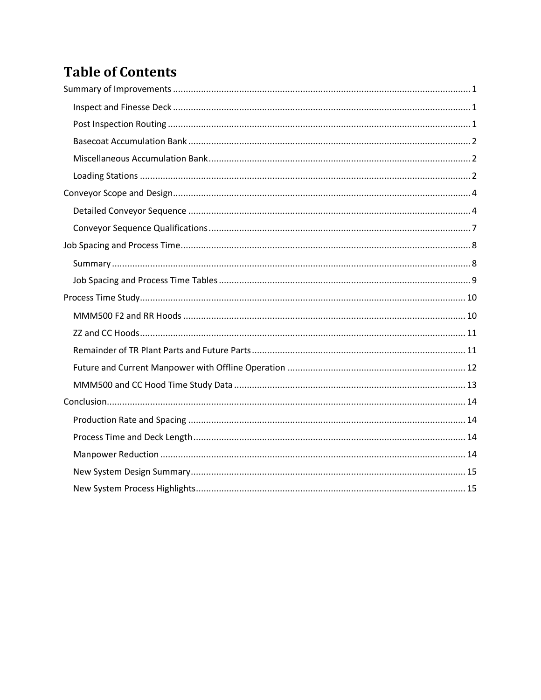### **Table of Contents**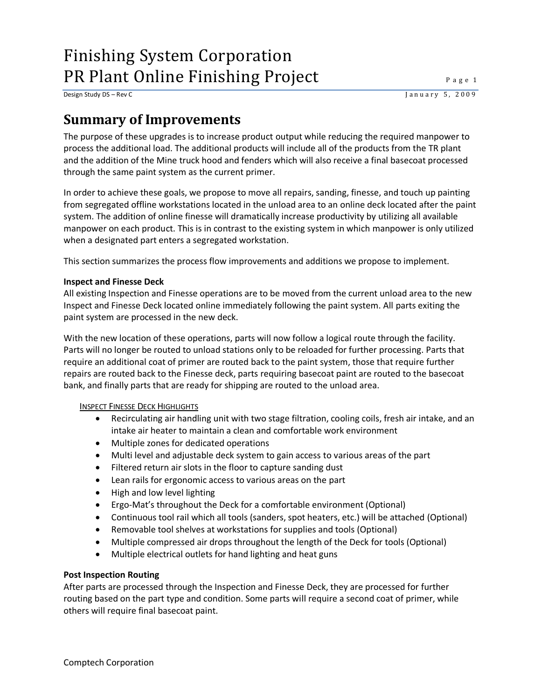Design Study DS – Rev C J a n u a r y 5, 2 0 0 9

### <span id="page-2-0"></span>**Summary of Improvements**

The purpose of these upgrades is to increase product output while reducing the required manpower to process the additional load. The additional products will include all of the products from the TR plant and the addition of the Mine truck hood and fenders which will also receive a final basecoat processed through the same paint system as the current primer.

In order to achieve these goals, we propose to move all repairs, sanding, finesse, and touch up painting from segregated offline workstations located in the unload area to an online deck located after the paint system. The addition of online finesse will dramatically increase productivity by utilizing all available manpower on each product. This is in contrast to the existing system in which manpower is only utilized when a designated part enters a segregated workstation.

This section summarizes the process flow improvements and additions we propose to implement.

#### <span id="page-2-1"></span>**Inspect and Finesse Deck**

All existing Inspection and Finesse operations are to be moved from the current unload area to the new Inspect and Finesse Deck located online immediately following the paint system. All parts exiting the paint system are processed in the new deck.

With the new location of these operations, parts will now follow a logical route through the facility. Parts will no longer be routed to unload stations only to be reloaded for further processing. Parts that require an additional coat of primer are routed back to the paint system, those that require further repairs are routed back to the Finesse deck, parts requiring basecoat paint are routed to the basecoat bank, and finally parts that are ready for shipping are routed to the unload area.

#### INSPECT FINESSE DECK HIGHLIGHTS

- Recirculating air handling unit with two stage filtration, cooling coils, fresh air intake, and an intake air heater to maintain a clean and comfortable work environment
- Multiple zones for dedicated operations
- Multi level and adjustable deck system to gain access to various areas of the part
- Filtered return air slots in the floor to capture sanding dust
- Lean rails for ergonomic access to various areas on the part
- High and low level lighting
- Ergo-Mat's throughout the Deck for a comfortable environment (Optional)
- Continuous tool rail which all tools (sanders, spot heaters, etc.) will be attached (Optional)
- Removable tool shelves at workstations for supplies and tools (Optional)
- Multiple compressed air drops throughout the length of the Deck for tools (Optional)
- Multiple electrical outlets for hand lighting and heat guns

#### <span id="page-2-2"></span>**Post Inspection Routing**

After parts are processed through the Inspection and Finesse Deck, they are processed for further routing based on the part type and condition. Some parts will require a second coat of primer, while others will require final basecoat paint.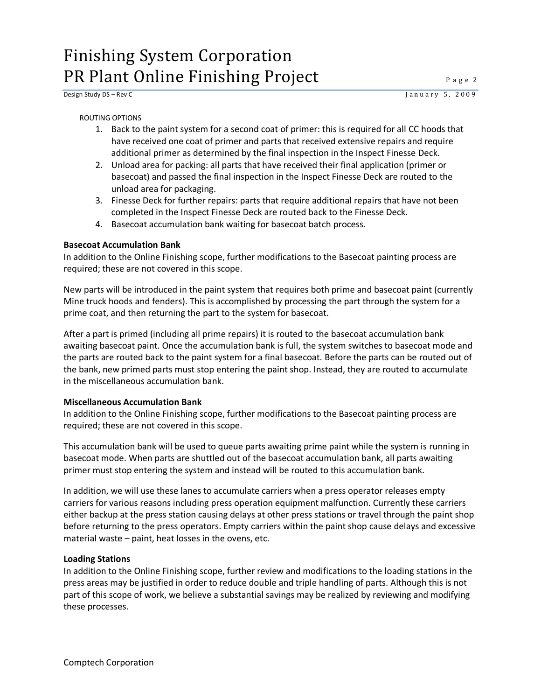#### ROUTING OPTIONS

- 1. Back to the paint system for a second coat of primer: this is required for all CC hoods that have received one coat of primer and parts that received extensive repairs and require additional primer as determined by the final inspection in the Inspect Finesse Deck.
- 2. Unload area for packing: all parts that have received their final application (primer or basecoat) and passed the final inspection in the Inspect Finesse Deck are routed to the unload area for packaging.
- 3. Finesse Deck for further repairs: parts that require additional repairs that have not been completed in the Inspect Finesse Deck are routed back to the Finesse Deck.
- 4. Basecoat accumulation bank waiting for basecoat batch process.

#### <span id="page-3-0"></span>**Basecoat Accumulation Bank**

In addition to the Online Finishing scope, further modifications to the Basecoat painting process are required; these are not covered in this scope.

New parts will be introduced in the paint system that requires both prime and basecoat paint (currently Mine truck hoods and fenders). This is accomplished by processing the part through the system for a prime coat, and then returning the part to the system for basecoat.

After a part is primed (including all prime repairs) it is routed to the basecoat accumulation bank awaiting basecoat paint. Once the accumulation bank is full, the system switches to basecoat mode and the parts are routed back to the paint system for a final basecoat. Before the parts can be routed out of the bank, new primed parts must stop entering the paint shop. Instead, they are routed to accumulate in the miscellaneous accumulation bank.

#### <span id="page-3-1"></span>**Miscellaneous Accumulation Bank**

In addition to the Online Finishing scope, further modifications to the Basecoat painting process are required; these are not covered in this scope.

This accumulation bank will be used to queue parts awaiting prime paint while the system is running in basecoat mode. When parts are shuttled out of the basecoat accumulation bank, all parts awaiting primer must stop entering the system and instead will be routed to this accumulation bank.

In addition, we will use these lanes to accumulate carriers when a press operator releases empty carriers for various reasons including press operation equipment malfunction. Currently these carriers either backup at the press station causing delays at other press stations or travel through the paint shop before returning to the press operators. Empty carriers within the paint shop cause delays and excessive material waste – paint, heat losses in the ovens, etc.

#### <span id="page-3-2"></span>**Loading Stations**

In addition to the Online Finishing scope, further review and modifications to the loading stations in the press areas may be justified in order to reduce double and triple handling of parts. Although this is not part of this scope of work, we believe a substantial savings may be realized by reviewing and modifying these processes.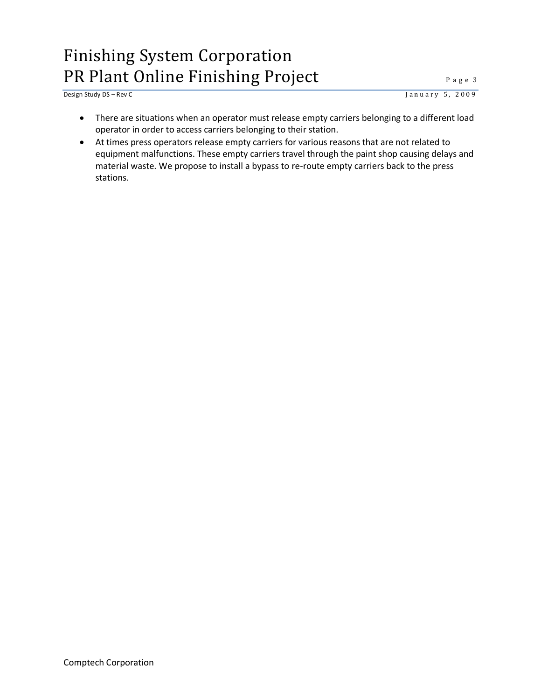<u>Design Study DS – Rev C</u> J a n u a r y 5, 2009

- There are situations when an operator must release empty carriers belonging to a different load operator in order to access carriers belonging to their station.
- At times press operators release empty carriers for various reasons that are not related to equipment malfunctions. These empty carriers travel through the paint shop causing delays and material waste. We propose to install a bypass to re-route empty carriers back to the press stations.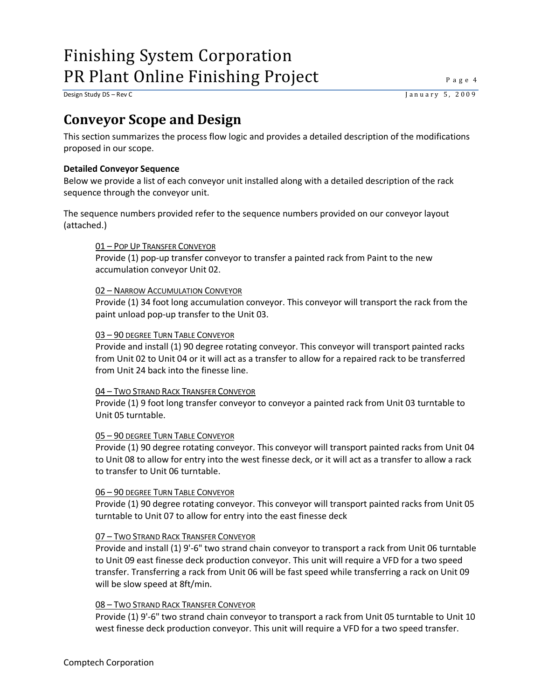Design Study DS – Rev C<br>
J a n u a r y 5, 2009

### <span id="page-5-0"></span>**Conveyor Scope and Design**

This section summarizes the process flow logic and provides a detailed description of the modifications proposed in our scope.

#### <span id="page-5-1"></span>**Detailed Conveyor Sequence**

Below we provide a list of each conveyor unit installed along with a detailed description of the rack sequence through the conveyor unit.

The sequence numbers provided refer to the sequence numbers provided on our conveyor layout (attached.)

#### 01 – POP UP TRANSFER CONVEYOR

Provide (1) pop-up transfer conveyor to transfer a painted rack from Paint to the new accumulation conveyor Unit 02.

#### 02 – NARROW ACCUMULATION CONVEYOR

Provide (1) 34 foot long accumulation conveyor. This conveyor will transport the rack from the paint unload pop-up transfer to the Unit 03.

#### 03 – 90 DEGREE TURN TABLE CONVEYOR

Provide and install (1) 90 degree rotating conveyor. This conveyor will transport painted racks from Unit 02 to Unit 04 or it will act as a transfer to allow for a repaired rack to be transferred from Unit 24 back into the finesse line.

#### 04 – TWO STRAND RACK TRANSFER CONVEYOR

Provide (1) 9 foot long transfer conveyor to conveyor a painted rack from Unit 03 turntable to Unit 05 turntable.

#### 05 – 90 DEGREE TURN TABLE CONVEYOR

Provide (1) 90 degree rotating conveyor. This conveyor will transport painted racks from Unit 04 to Unit 08 to allow for entry into the west finesse deck, or it will act as a transfer to allow a rack to transfer to Unit 06 turntable.

#### 06 – 90 DEGREE TURN TABLE CONVEYOR

Provide (1) 90 degree rotating conveyor. This conveyor will transport painted racks from Unit 05 turntable to Unit 07 to allow for entry into the east finesse deck

#### 07 – TWO STRAND RACK TRANSFER CONVEYOR

Provide and install (1) 9'-6" two strand chain conveyor to transport a rack from Unit 06 turntable to Unit 09 east finesse deck production conveyor. This unit will require a VFD for a two speed transfer. Transferring a rack from Unit 06 will be fast speed while transferring a rack on Unit 09 will be slow speed at 8ft/min.

#### 08 – TWO STRAND RACK TRANSFER CONVEYOR

Provide (1) 9'-6" two strand chain conveyor to transport a rack from Unit 05 turntable to Unit 10 west finesse deck production conveyor. This unit will require a VFD for a two speed transfer.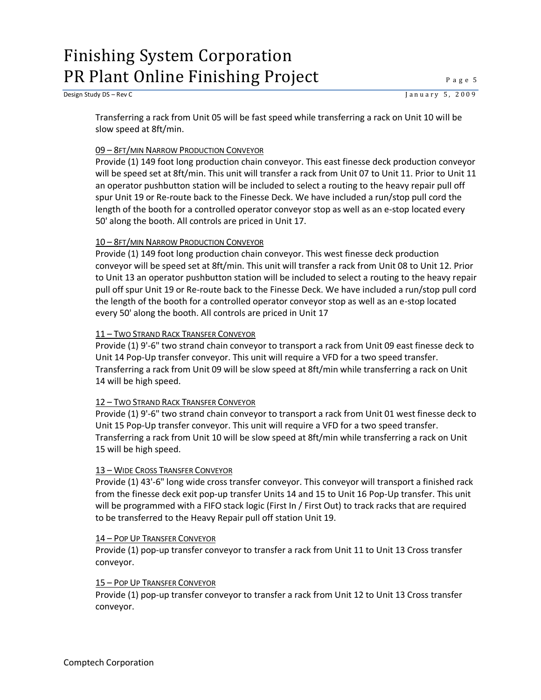Transferring a rack from Unit 05 will be fast speed while transferring a rack on Unit 10 will be slow speed at 8ft/min.

#### 09 – 8FT/MIN NARROW PRODUCTION CONVEYOR

Provide (1) 149 foot long production chain conveyor. This east finesse deck production conveyor will be speed set at 8ft/min. This unit will transfer a rack from Unit 07 to Unit 11. Prior to Unit 11 an operator pushbutton station will be included to select a routing to the heavy repair pull off spur Unit 19 or Re-route back to the Finesse Deck. We have included a run/stop pull cord the length of the booth for a controlled operator conveyor stop as well as an e-stop located every 50' along the booth. All controls are priced in Unit 17.

#### 10 – 8FT/MIN NARROW PRODUCTION CONVEYOR

Provide (1) 149 foot long production chain conveyor. This west finesse deck production conveyor will be speed set at 8ft/min. This unit will transfer a rack from Unit 08 to Unit 12. Prior to Unit 13 an operator pushbutton station will be included to select a routing to the heavy repair pull off spur Unit 19 or Re-route back to the Finesse Deck. We have included a run/stop pull cord the length of the booth for a controlled operator conveyor stop as well as an e-stop located every 50' along the booth. All controls are priced in Unit 17

#### 11 – TWO STRAND RACK TRANSFER CONVEYOR

Provide (1) 9'-6" two strand chain conveyor to transport a rack from Unit 09 east finesse deck to Unit 14 Pop-Up transfer conveyor. This unit will require a VFD for a two speed transfer. Transferring a rack from Unit 09 will be slow speed at 8ft/min while transferring a rack on Unit 14 will be high speed.

#### 12 – TWO STRAND RACK TRANSFER CONVEYOR

Provide (1) 9'-6" two strand chain conveyor to transport a rack from Unit 01 west finesse deck to Unit 15 Pop-Up transfer conveyor. This unit will require a VFD for a two speed transfer. Transferring a rack from Unit 10 will be slow speed at 8ft/min while transferring a rack on Unit 15 will be high speed.

#### 13 – WIDE CROSS TRANSFER CONVEYOR

Provide (1) 43'-6" long wide cross transfer conveyor. This conveyor will transport a finished rack from the finesse deck exit pop-up transfer Units 14 and 15 to Unit 16 Pop-Up transfer. This unit will be programmed with a FIFO stack logic (First In / First Out) to track racks that are required to be transferred to the Heavy Repair pull off station Unit 19.

#### 14 – POP UP TRANSFER CONVEYOR

Provide (1) pop-up transfer conveyor to transfer a rack from Unit 11 to Unit 13 Cross transfer conveyor.

#### 15 – POP UP TRANSFER CONVEYOR

Provide (1) pop-up transfer conveyor to transfer a rack from Unit 12 to Unit 13 Cross transfer conveyor.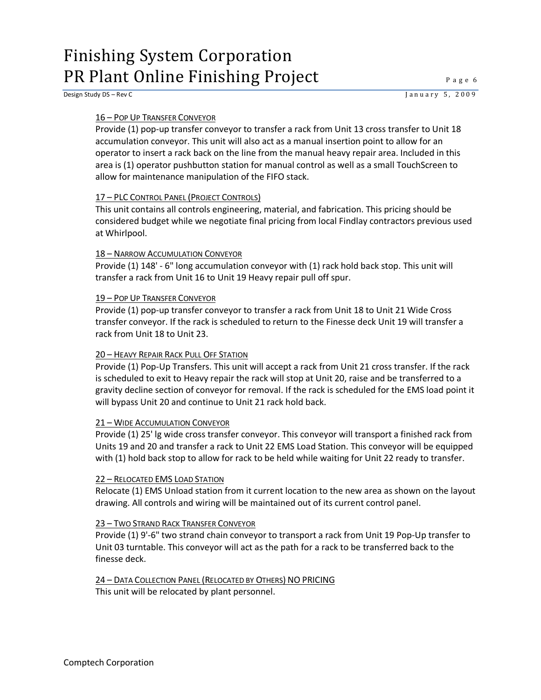Design Study DS – Rev C J a n u a r y 5, 2 0 0 9

#### 16 – POP UP TRANSFER CONVEYOR

Provide (1) pop-up transfer conveyor to transfer a rack from Unit 13 cross transfer to Unit 18 accumulation conveyor. This unit will also act as a manual insertion point to allow for an operator to insert a rack back on the line from the manual heavy repair area. Included in this area is (1) operator pushbutton station for manual control as well as a small TouchScreen to allow for maintenance manipulation of the FIFO stack.

#### 17 – PLC CONTROL PANEL (PROJECT CONTROLS)

This unit contains all controls engineering, material, and fabrication. This pricing should be considered budget while we negotiate final pricing from local Findlay contractors previous used at Whirlpool.

#### 18 – NARROW ACCUMULATION CONVEYOR

Provide (1) 148' - 6" long accumulation conveyor with (1) rack hold back stop. This unit will transfer a rack from Unit 16 to Unit 19 Heavy repair pull off spur.

#### 19 – POP UP TRANSFER CONVEYOR

Provide (1) pop-up transfer conveyor to transfer a rack from Unit 18 to Unit 21 Wide Cross transfer conveyor. If the rack is scheduled to return to the Finesse deck Unit 19 will transfer a rack from Unit 18 to Unit 23.

#### 20 – HEAVY REPAIR RACK PULL OFF STATION

Provide (1) Pop-Up Transfers. This unit will accept a rack from Unit 21 cross transfer. If the rack is scheduled to exit to Heavy repair the rack will stop at Unit 20, raise and be transferred to a gravity decline section of conveyor for removal. If the rack is scheduled for the EMS load point it will bypass Unit 20 and continue to Unit 21 rack hold back.

#### 21 – WIDE ACCUMULATION CONVEYOR

Provide (1) 25' lg wide cross transfer conveyor. This conveyor will transport a finished rack from Units 19 and 20 and transfer a rack to Unit 22 EMS Load Station. This conveyor will be equipped with (1) hold back stop to allow for rack to be held while waiting for Unit 22 ready to transfer.

#### 22 – RELOCATED EMS LOAD STATION

Relocate (1) EMS Unload station from it current location to the new area as shown on the layout drawing. All controls and wiring will be maintained out of its current control panel.

#### 23 – TWO STRAND RACK TRANSFER CONVEYOR

Provide (1) 9'-6" two strand chain conveyor to transport a rack from Unit 19 Pop-Up transfer to Unit 03 turntable. This conveyor will act as the path for a rack to be transferred back to the finesse deck.

### 24 – DATA COLLECTION PANEL (RELOCATED BY OTHERS) NO PRICING

This unit will be relocated by plant personnel.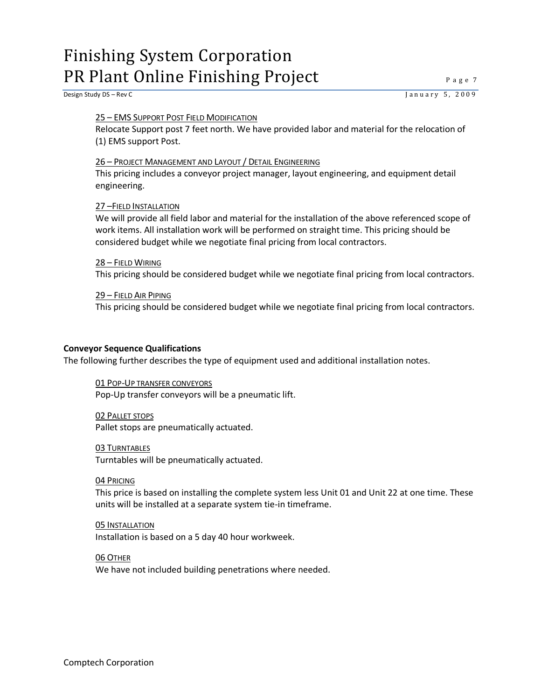Design Study DS – Rev C J a n u a r y 5, 2 0 0 9

#### 25 – EMS SUPPORT POST FIELD MODIFICATION

Relocate Support post 7 feet north. We have provided labor and material for the relocation of (1) EMS support Post.

#### 26 – PROJECT MANAGEMENT AND LAYOUT / DETAIL ENGINEERING

This pricing includes a conveyor project manager, layout engineering, and equipment detail engineering.

#### 27 –FIELD INSTALLATION

We will provide all field labor and material for the installation of the above referenced scope of work items. All installation work will be performed on straight time. This pricing should be considered budget while we negotiate final pricing from local contractors.

#### 28 – FIELD WIRING

This pricing should be considered budget while we negotiate final pricing from local contractors.

#### 29 – FIELD AIR PIPING

This pricing should be considered budget while we negotiate final pricing from local contractors.

#### <span id="page-8-0"></span>**Conveyor Sequence Qualifications**

The following further describes the type of equipment used and additional installation notes.

#### 01 POP-UP TRANSFER CONVEYORS Pop-Up transfer conveyors will be a pneumatic lift.

02 PALLET STOPS Pallet stops are pneumatically actuated.

#### 03 TURNTABLES

Turntables will be pneumatically actuated.

#### 04 PRICING

This price is based on installing the complete system less Unit 01 and Unit 22 at one time. These units will be installed at a separate system tie-in timeframe.

### 05 INSTALLATION

Installation is based on a 5 day 40 hour workweek.

#### 06 OTHER

We have not included building penetrations where needed.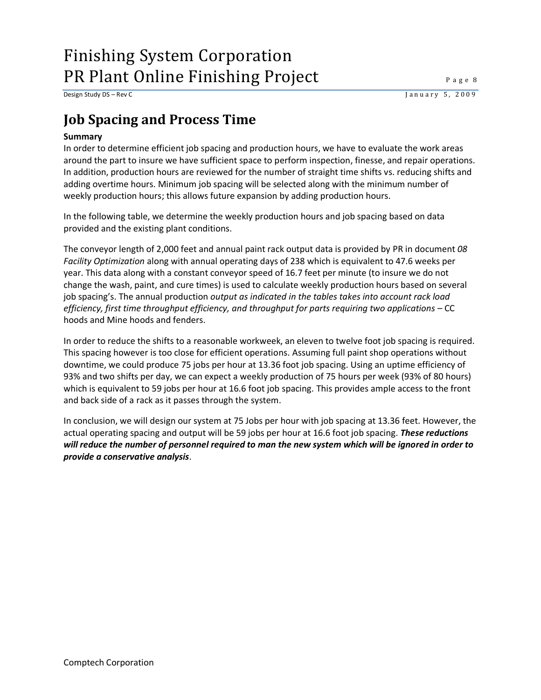Design Study DS – Rev C J a n u a r y 5, 2 0 0 9

### <span id="page-9-0"></span>**Job Spacing and Process Time**

#### <span id="page-9-1"></span>**Summary**

In order to determine efficient job spacing and production hours, we have to evaluate the work areas around the part to insure we have sufficient space to perform inspection, finesse, and repair operations. In addition, production hours are reviewed for the number of straight time shifts vs. reducing shifts and adding overtime hours. Minimum job spacing will be selected along with the minimum number of weekly production hours; this allows future expansion by adding production hours.

In the following table, we determine the weekly production hours and job spacing based on data provided and the existing plant conditions.

The conveyor length of 2,000 feet and annual paint rack output data is provided by PR in document *08 Facility Optimization* along with annual operating days of 238 which is equivalent to 47.6 weeks per year. This data along with a constant conveyor speed of 16.7 feet per minute (to insure we do not change the wash, paint, and cure times) is used to calculate weekly production hours based on several job spacing's. The annual production *output as indicated in the tables takes into account rack load efficiency, first time throughput efficiency, and throughput for parts requiring two applications* – CC hoods and Mine hoods and fenders.

In order to reduce the shifts to a reasonable workweek, an eleven to twelve foot job spacing is required. This spacing however is too close for efficient operations. Assuming full paint shop operations without downtime, we could produce 75 jobs per hour at 13.36 foot job spacing. Using an uptime efficiency of 93% and two shifts per day, we can expect a weekly production of 75 hours per week (93% of 80 hours) which is equivalent to 59 jobs per hour at 16.6 foot job spacing. This provides ample access to the front and back side of a rack as it passes through the system.

In conclusion, we will design our system at 75 Jobs per hour with job spacing at 13.36 feet. However, the actual operating spacing and output will be 59 jobs per hour at 16.6 foot job spacing. *These reductions will reduce the number of personnel required to man the new system which will be ignored in order to provide a conservative analysis*.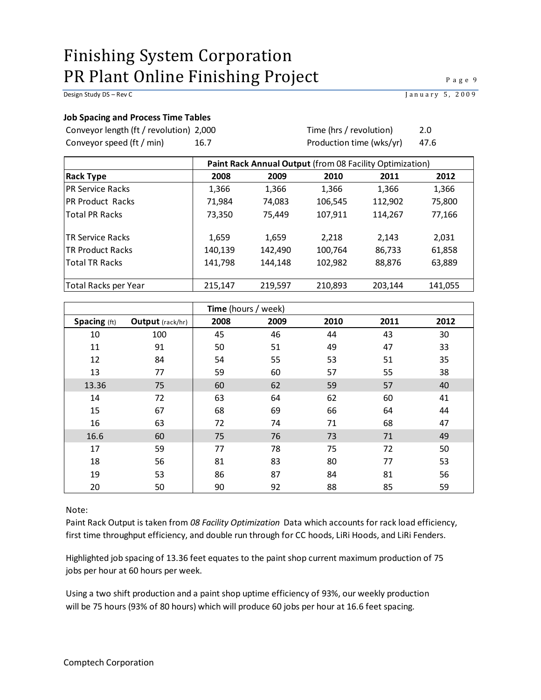#### Design Study DS – Rev C<br>
January 5, 2009

#### <span id="page-10-0"></span>**Job Spacing and Process Time Tables**

Conveyor length (ft / revolution) Conveyor speed (ft / min)

2,000 2.0 Time (hrs / revolution) 16.7 47.6 Production time (wks/yr)

| Paint Rack Annual Output (from 08 Facility Optimization) |         |         |         |         |         |  |  |  |  |
|----------------------------------------------------------|---------|---------|---------|---------|---------|--|--|--|--|
| <b>Rack Type</b>                                         | 2008    | 2009    | 2010    | 2011    | 2012    |  |  |  |  |
| <b>IPR Service Racks</b>                                 | 1,366   | 1,366   | 1,366   | 1,366   | 1,366   |  |  |  |  |
| IPR Product Racks                                        | 71,984  | 74,083  | 106,545 | 112,902 | 75,800  |  |  |  |  |
| <b>Total PR Racks</b>                                    | 73,350  | 75.449  | 107,911 | 114,267 | 77,166  |  |  |  |  |
| <b>TR Service Racks</b>                                  | 1,659   | 1,659   | 2,218   | 2,143   | 2,031   |  |  |  |  |
| <b>TR Product Racks</b>                                  | 140,139 | 142,490 | 100,764 | 86,733  | 61,858  |  |  |  |  |
| <b>Total TR Racks</b>                                    | 141,798 | 144,148 | 102,982 | 88,876  | 63,889  |  |  |  |  |
| Total Racks per Year                                     | 215,147 | 219,597 | 210,893 | 203,144 | 141,055 |  |  |  |  |

|              |                  | Time (hours / week) |      |      |      |      |  |  |  |
|--------------|------------------|---------------------|------|------|------|------|--|--|--|
| Spacing (ft) | Output (rack/hr) | 2008                | 2009 | 2010 | 2011 | 2012 |  |  |  |
| 10           | 100              | 45                  | 46   | 44   | 43   | 30   |  |  |  |
| 11           | 91               | 50                  | 51   | 49   | 47   | 33   |  |  |  |
| 12           | 84               | 54                  | 55   | 53   | 51   | 35   |  |  |  |
| 13           | 77               | 59                  | 60   | 57   | 55   | 38   |  |  |  |
| 13.36        | 75               | 60                  | 62   | 59   | 57   | 40   |  |  |  |
| 14           | 72               | 63                  | 64   | 62   | 60   | 41   |  |  |  |
| 15           | 67               | 68                  | 69   | 66   | 64   | 44   |  |  |  |
| 16           | 63               | 72                  | 74   | 71   | 68   | 47   |  |  |  |
| 16.6         | 60               | 75                  | 76   | 73   | 71   | 49   |  |  |  |
| 17           | 59               | 77                  | 78   | 75   | 72   | 50   |  |  |  |
| 18           | 56               | 81                  | 83   | 80   | 77   | 53   |  |  |  |
| 19           | 53               | 86                  | 87   | 84   | 81   | 56   |  |  |  |
| 20           | 50               | 90                  | 92   | 88   | 85   | 59   |  |  |  |

Note:

Paint Rack Output is taken from *08 Facility Optimization* Data which accounts for rack load efficiency, first time throughput efficiency, and double run through for CC hoods, LiRi Hoods, and LiRi Fenders.

Highlighted job spacing of 13.36 feet equates to the paint shop current maximum production of 75 jobs per hour at 60 hours per week.

Using a two shift production and a paint shop uptime efficiency of 93%, our weekly production will be 75 hours (93% of 80 hours) which will produce 60 jobs per hour at 16.6 feet spacing.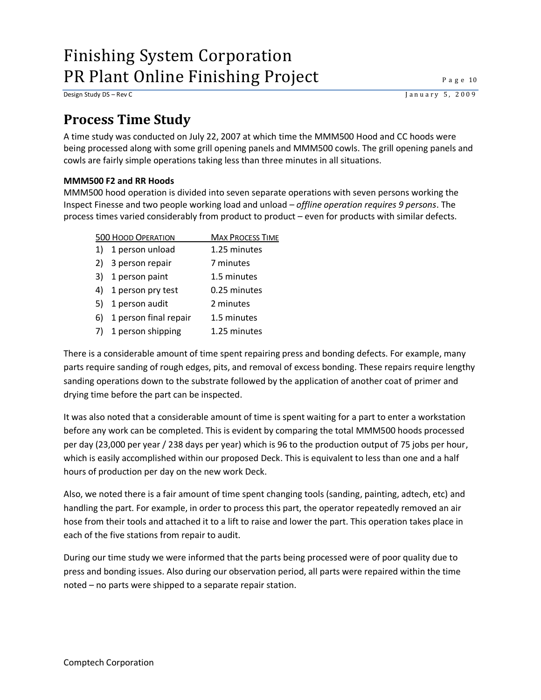Design Study DS – Rev C J a n u a r y 5, 2 0 0 9

### <span id="page-11-0"></span>**Process Time Study**

A time study was conducted on July 22, 2007 at which time the MMM500 Hood and CC hoods were being processed along with some grill opening panels and MMM500 cowls. The grill opening panels and cowls are fairly simple operations taking less than three minutes in all situations.

#### <span id="page-11-1"></span>**MMM500 F2 and RR Hoods**

MMM500 hood operation is divided into seven separate operations with seven persons working the Inspect Finesse and two people working load and unload *– offline operation requires 9 persons*. The process times varied considerably from product to product – even for products with similar defects.

|    | <b>500 HOOD OPERATION</b> | <b>MAX PROCESS TIME</b> |
|----|---------------------------|-------------------------|
| 1) | 1 person unload           | 1.25 minutes            |
| 2) | 3 person repair           | 7 minutes               |
| 3) | 1 person paint            | 1.5 minutes             |
| 4) | 1 person pry test         | 0.25 minutes            |
| 5) | 1 person audit            | 2 minutes               |
| 6) | 1 person final repair     | 1.5 minutes             |
| 7) | 1 person shipping         | 1.25 minutes            |

There is a considerable amount of time spent repairing press and bonding defects. For example, many parts require sanding of rough edges, pits, and removal of excess bonding. These repairs require lengthy sanding operations down to the substrate followed by the application of another coat of primer and drying time before the part can be inspected.

It was also noted that a considerable amount of time is spent waiting for a part to enter a workstation before any work can be completed. This is evident by comparing the total MMM500 hoods processed per day (23,000 per year / 238 days per year) which is 96 to the production output of 75 jobs per hour, which is easily accomplished within our proposed Deck. This is equivalent to less than one and a half hours of production per day on the new work Deck.

Also, we noted there is a fair amount of time spent changing tools (sanding, painting, adtech, etc) and handling the part. For example, in order to process this part, the operator repeatedly removed an air hose from their tools and attached it to a lift to raise and lower the part. This operation takes place in each of the five stations from repair to audit.

During our time study we were informed that the parts being processed were of poor quality due to press and bonding issues. Also during our observation period, all parts were repaired within the time noted – no parts were shipped to a separate repair station.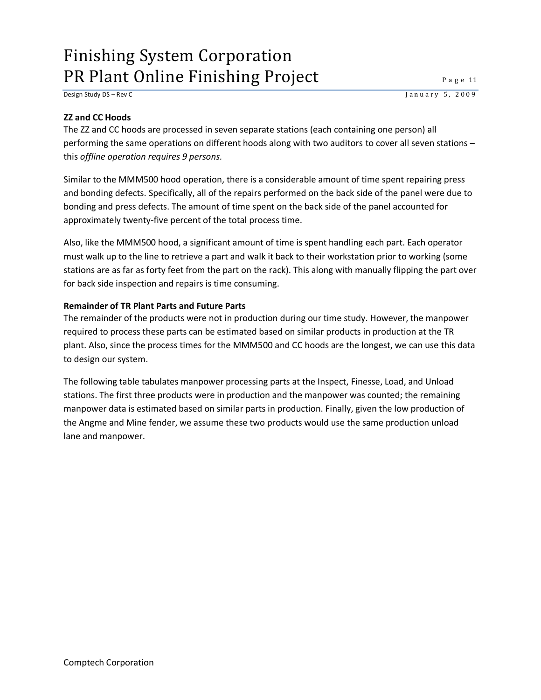Design Study DS – Rev C J a n u a r y 5, 2 0 0 9

#### <span id="page-12-0"></span>**ZZ and CC Hoods**

The ZZ and CC hoods are processed in seven separate stations (each containing one person) all performing the same operations on different hoods along with two auditors to cover all seven stations – this *offline operation requires 9 persons.*

Similar to the MMM500 hood operation, there is a considerable amount of time spent repairing press and bonding defects. Specifically, all of the repairs performed on the back side of the panel were due to bonding and press defects. The amount of time spent on the back side of the panel accounted for approximately twenty-five percent of the total process time.

Also, like the MMM500 hood, a significant amount of time is spent handling each part. Each operator must walk up to the line to retrieve a part and walk it back to their workstation prior to working (some stations are as far as forty feet from the part on the rack). This along with manually flipping the part over for back side inspection and repairs is time consuming.

#### <span id="page-12-1"></span>**Remainder of TR Plant Parts and Future Parts**

The remainder of the products were not in production during our time study. However, the manpower required to process these parts can be estimated based on similar products in production at the TR plant. Also, since the process times for the MMM500 and CC hoods are the longest, we can use this data to design our system.

The following table tabulates manpower processing parts at the Inspect, Finesse, Load, and Unload stations. The first three products were in production and the manpower was counted; the remaining manpower data is estimated based on similar parts in production. Finally, given the low production of the Angme and Mine fender, we assume these two products would use the same production unload lane and manpower.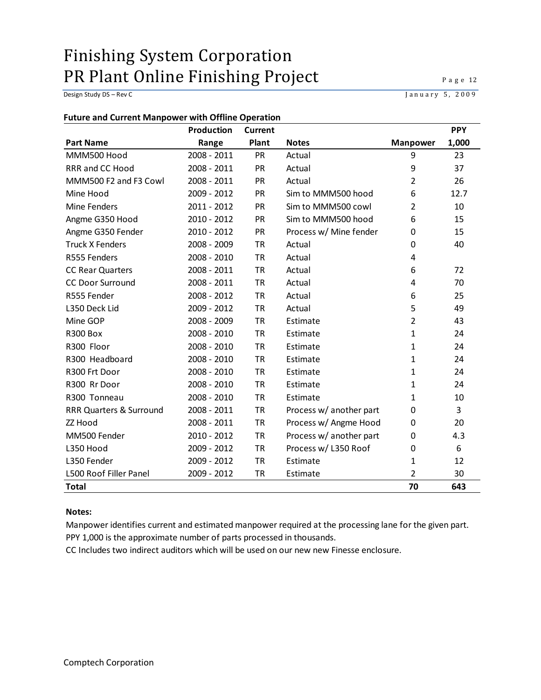Design Study DS – Rev C J a n u a r y 5, 2009

#### <span id="page-13-0"></span>**Future and Current Manpower with Offline Operation**

|                                    | Production    | <b>Current</b> |                         |                 | <b>PPY</b>       |
|------------------------------------|---------------|----------------|-------------------------|-----------------|------------------|
| <b>Part Name</b>                   | Range         | Plant          | <b>Notes</b>            | <b>Manpower</b> | 1,000            |
| MMM500 Hood                        | 2008 - 2011   | PR             | Actual                  | 9               | 23               |
| RRR and CC Hood                    | 2008 - 2011   | <b>PR</b>      | Actual                  | 9               | 37               |
| MMM500 F2 and F3 Cowl              | 2008 - 2011   | PR             | Actual                  | $\overline{2}$  | 26               |
| Mine Hood                          | 2009 - 2012   | <b>PR</b>      | Sim to MMM500 hood      | 6               | 12.7             |
| Mine Fenders                       | 2011 - 2012   | <b>PR</b>      | Sim to MMM500 cowl      | $\overline{2}$  | 10               |
| Angme G350 Hood                    | 2010 - 2012   | PR             | Sim to MMM500 hood      | 6               | 15               |
| Angme G350 Fender                  | 2010 - 2012   | PR             | Process w/ Mine fender  | $\mathbf 0$     | 15               |
| <b>Truck X Fenders</b>             | 2008 - 2009   | TR             | Actual                  | 0               | 40               |
| R555 Fenders                       | $2008 - 2010$ | TR             | Actual                  | 4               |                  |
| <b>CC Rear Quarters</b>            | 2008 - 2011   | <b>TR</b>      | Actual                  | 6               | 72               |
| <b>CC Door Surround</b>            | 2008 - 2011   | TR             | Actual                  | 4               | 70               |
| R555 Fender                        | 2008 - 2012   | <b>TR</b>      | Actual                  | 6               | 25               |
| L350 Deck Lid                      | 2009 - 2012   | TR             | Actual                  | 5               | 49               |
| Mine GOP                           | 2008 - 2009   | TR             | Estimate                | $\overline{2}$  | 43               |
| <b>R300 Box</b>                    | 2008 - 2010   | TR             | Estimate                | $\mathbf{1}$    | 24               |
| R300 Floor                         | 2008 - 2010   | <b>TR</b>      | Estimate                | $\mathbf{1}$    | 24               |
| R300 Headboard                     | 2008 - 2010   | <b>TR</b>      | Estimate                | $\mathbf{1}$    | 24               |
| R300 Frt Door                      | 2008 - 2010   | TR             | Estimate                | $\mathbf{1}$    | 24               |
| R300 Rr Door                       | $2008 - 2010$ | TR             | Estimate                | $\mathbf{1}$    | 24               |
| R300 Tonneau                       | 2008 - 2010   | <b>TR</b>      | Estimate                | $\mathbf{1}$    | 10               |
| <b>RRR Quarters &amp; Surround</b> | 2008 - 2011   | TR             | Process w/ another part | 0               | 3                |
| ZZ Hood                            | 2008 - 2011   | TR             | Process w/ Angme Hood   | 0               | 20               |
| MM500 Fender                       | 2010 - 2012   | TR             | Process w/ another part | 0               | 4.3              |
| L350 Hood                          | 2009 - 2012   | <b>TR</b>      | Process w/ L350 Roof    | $\mathbf 0$     | $\boldsymbol{6}$ |
| L350 Fender                        | 2009 - 2012   | <b>TR</b>      | Estimate                | 1               | 12               |
| L500 Roof Filler Panel             | 2009 - 2012   | <b>TR</b>      | Estimate                | $\overline{2}$  | 30               |
| <b>Total</b>                       |               |                |                         | 70              | 643              |

#### **Notes:**

Manpower identifies current and estimated manpower required at the processing lane for the given part. PPY 1,000 is the approximate number of parts processed in thousands.

CC Includes two indirect auditors which will be used on our new new Finesse enclosure.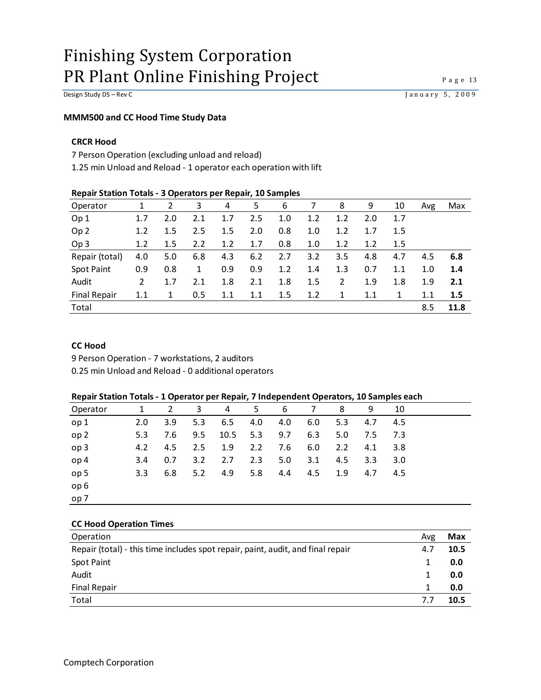#### <span id="page-14-0"></span>**MMM500 and CC Hood Time Study Data**

#### **CRCR Hood**

7 Person Operation (excluding unload and reload)

1.25 min Unload and Reload - 1 operator each operation with lift

#### **Repair Station Totals - 3 Operators per Repair, 10 Samples**

| Operator            |     |     | 3   | 4   | 5   | 6   | 7   | 8   | 9   | 10  | Avg | Max  |
|---------------------|-----|-----|-----|-----|-----|-----|-----|-----|-----|-----|-----|------|
| Op <sub>1</sub>     |     | 2.0 | 2.1 | 1.7 | 2.5 | 1.0 | 1.2 | 1.2 | 2.0 | 1.7 |     |      |
| Op <sub>2</sub>     | 1.2 | 1.5 | 2.5 | 1.5 | 2.0 | 0.8 | 1.0 | 1.2 | 1.7 | 1.5 |     |      |
| Op <sub>3</sub>     | 1.2 | 1.5 | 2.2 | 1.2 | 1.7 | 0.8 | 1.0 | 1.2 | 1.2 | 1.5 |     |      |
| Repair (total)      | 4.0 | 5.0 | 6.8 | 4.3 | 6.2 | 2.7 | 3.2 | 3.5 | 4.8 | 4.7 | 4.5 | 6.8  |
| Spot Paint          | 0.9 | 0.8 | 1   | 0.9 | 0.9 | 1.2 | 1.4 | 1.3 | 0.7 | 1.1 | 1.0 | 1.4  |
| Audit               | 2   | 1.7 | 2.1 | 1.8 | 2.1 | 1.8 | 1.5 | 2   | 1.9 | 1.8 | 1.9 | 2.1  |
| <b>Final Repair</b> | 1.1 | 1   | 0.5 | 1.1 | 1.1 | 1.5 | 1.2 | 1   | 1.1 | 1   | 1.1 | 1.5  |
| Total               |     |     |     |     |     |     |     |     |     |     | 8.5 | 11.8 |
|                     |     |     |     |     |     |     |     |     |     |     |     |      |

#### **CC Hood**

9 Person Operation - 7 workstations, 2 auditors

0.25 min Unload and Reload - 0 additional operators

#### **Repair Station Totals - 1 Operator per Repair, 7 Independent Operators, 10 Samples each**

| Operator        | 1                | $\overline{2}$ | 3   | 4   | 5        | - 6 | 7   | 8   | 9                | 10      |  |
|-----------------|------------------|----------------|-----|-----|----------|-----|-----|-----|------------------|---------|--|
| op 1            | 2.0              | 3.9            | 5.3 | 6.5 | 4.0      | 4.0 | 6.0 | 5.3 | 4.7              | 4.5     |  |
| op <sub>2</sub> | 5.3              | 7.6            | 9.5 |     | 10.5 5.3 | 9.7 | 6.3 | 5.0 |                  | 7.5 7.3 |  |
| op <sub>3</sub> | 4.2              | 4.5            | 2.5 | 1.9 | 2.2      | 7.6 | 6.0 | 2.2 | 4.1              | -3.8    |  |
| op 4            | 3.4              | 0.7            | 3.2 | 2.7 | 2.3      | 5.0 | 3.1 | 4.5 | 3.3 <sub>1</sub> | 3.0     |  |
| op 5            | 3.3 <sub>1</sub> | 6.8            | 5.2 | 4.9 | 5.8      | 4.4 | 4.5 | 1.9 | 4.7              | 4.5     |  |
| op <sub>6</sub> |                  |                |     |     |          |     |     |     |                  |         |  |
| op 7            |                  |                |     |     |          |     |     |     |                  |         |  |

#### **CC Hood Operation Times**

| Operation                                                                       | Avg | Max  |
|---------------------------------------------------------------------------------|-----|------|
| Repair (total) - this time includes spot repair, paint, audit, and final repair | 4.7 | 10.5 |
| Spot Paint                                                                      |     | 0.0  |
| Audit                                                                           |     | 0.0  |
| <b>Final Repair</b>                                                             |     | 0.0  |
| Total                                                                           | 77  | 10.5 |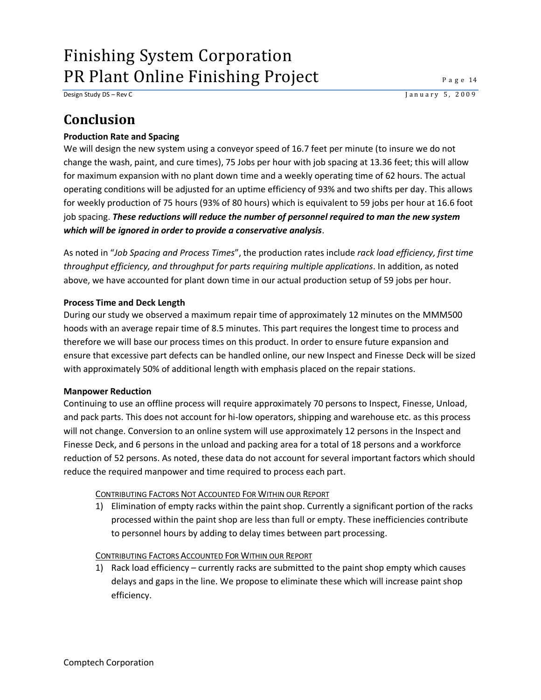Design Study DS – Rev C J a n u a r y 5, 2 0 0 9

### <span id="page-15-0"></span>**Conclusion**

#### <span id="page-15-1"></span>**Production Rate and Spacing**

We will design the new system using a conveyor speed of 16.7 feet per minute (to insure we do not change the wash, paint, and cure times), 75 Jobs per hour with job spacing at 13.36 feet; this will allow for maximum expansion with no plant down time and a weekly operating time of 62 hours. The actual operating conditions will be adjusted for an uptime efficiency of 93% and two shifts per day. This allows for weekly production of 75 hours (93% of 80 hours) which is equivalent to 59 jobs per hour at 16.6 foot job spacing. *These reductions will reduce the number of personnel required to man the new system which will be ignored in order to provide a conservative analysis*.

As noted in "*Job Spacing and Process Times*", the production rates include *rack load efficiency, first time throughput efficiency, and throughput for parts requiring multiple applications*. In addition, as noted above, we have accounted for plant down time in our actual production setup of 59 jobs per hour.

#### <span id="page-15-2"></span>**Process Time and Deck Length**

During our study we observed a maximum repair time of approximately 12 minutes on the MMM500 hoods with an average repair time of 8.5 minutes. This part requires the longest time to process and therefore we will base our process times on this product. In order to ensure future expansion and ensure that excessive part defects can be handled online, our new Inspect and Finesse Deck will be sized with approximately 50% of additional length with emphasis placed on the repair stations.

#### <span id="page-15-3"></span>**Manpower Reduction**

Continuing to use an offline process will require approximately 70 persons to Inspect, Finesse, Unload, and pack parts. This does not account for hi-low operators, shipping and warehouse etc. as this process will not change. Conversion to an online system will use approximately 12 persons in the Inspect and Finesse Deck, and 6 persons in the unload and packing area for a total of 18 persons and a workforce reduction of 52 persons. As noted, these data do not account for several important factors which should reduce the required manpower and time required to process each part.

#### CONTRIBUTING FACTORS NOT ACCOUNTED FOR WITHIN OUR REPORT

1) Elimination of empty racks within the paint shop. Currently a significant portion of the racks processed within the paint shop are less than full or empty. These inefficiencies contribute to personnel hours by adding to delay times between part processing.

#### CONTRIBUTING FACTORS ACCOUNTED FOR WITHIN OUR REPORT

1) Rack load efficiency – currently racks are submitted to the paint shop empty which causes delays and gaps in the line. We propose to eliminate these which will increase paint shop efficiency.